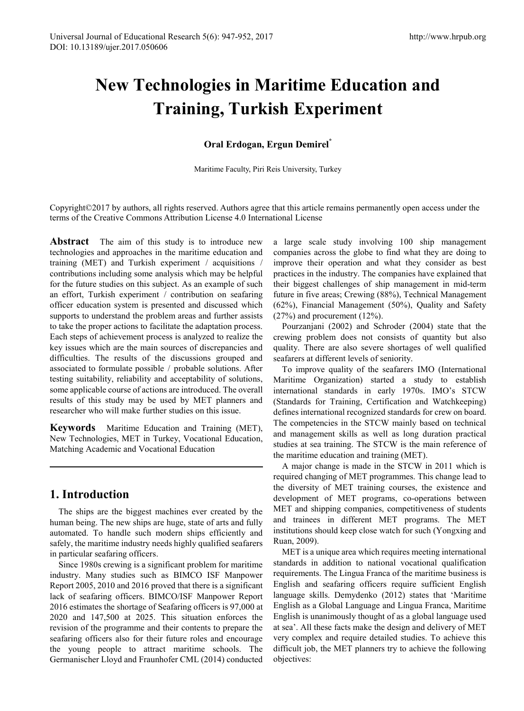# **New Technologies in Maritime Education and Training, Turkish Experiment**

### **Oral Erdogan, Ergun Demirel\***

Maritime Faculty, Piri Reis University, Turkey

Copyright©2017 by authors, all rights reserved. Authors agree that this article remains permanently open access under the terms of the Creative Commons Attribution License 4.0 International License

**Abstract** The aim of this study is to introduce new technologies and approaches in the maritime education and training (MET) and Turkish experiment / acquisitions / contributions including some analysis which may be helpful for the future studies on this subject. As an example of such an effort, Turkish experiment / contribution on seafaring officer education system is presented and discussed which supports to understand the problem areas and further assists to take the proper actions to facilitate the adaptation process. Each steps of achievement process is analyzed to realize the key issues which are the main sources of discrepancies and difficulties. The results of the discussions grouped and associated to formulate possible / probable solutions. After testing suitability, reliability and acceptability of solutions, some applicable course of actions are introduced. The overall results of this study may be used by MET planners and researcher who will make further studies on this issue.

**Keywords** Maritime Education and Training (MET), New Technologies, MET in Turkey, Vocational Education, Matching Academic and Vocational Education

### **1. Introduction**

The ships are the biggest machines ever created by the human being. The new ships are huge, state of arts and fully automated. To handle such modern ships efficiently and safely, the maritime industry needs highly qualified seafarers in particular seafaring officers.

Since 1980s crewing is a significant problem for maritime industry. Many studies such as BIMCO ISF Manpower Report 2005, 2010 and 2016 proved that there is a significant lack of seafaring officers. BIMCO/ISF Manpower Report 2016 estimates the shortage of Seafaring officers is 97,000 at 2020 and 147,500 at 2025. This situation enforces the revision of the programme and their contents to prepare the seafaring officers also for their future roles and encourage the young people to attract maritime schools. The Germanischer Lloyd and Fraunhofer CML (2014) conducted

a large scale study involving 100 ship management companies across the globe to find what they are doing to improve their operation and what they consider as best practices in the industry. The companies have explained that their biggest challenges of ship management in mid-term future in five areas; Crewing (88%), Technical Management (62%), Financial Management (50%), Quality and Safety (27%) and procurement (12%).

Pourzanjani (2002) and Schroder (2004) state that the crewing problem does not consists of quantity but also quality. There are also severe shortages of well qualified seafarers at different levels of seniority.

To improve quality of the seafarers IMO (International Maritime Organization) started a study to establish international standards in early 1970s. IMO's STCW (Standards for Training, Certification and Watchkeeping) defines international recognized standards for crew on board. The competencies in the STCW mainly based on technical and management skills as well as long duration practical studies at sea training. The STCW is the main reference of the maritime education and training (MET).

A major change is made in the STCW in 2011 which is required changing of MET programmes. This change lead to the diversity of MET training courses, the existence and development of MET programs, co-operations between MET and shipping companies, competitiveness of students and trainees in different MET programs. The MET institutions should keep close watch for such (Yongxing and Ruan, 2009).

MET is a unique area which requires meeting international standards in addition to national vocational qualification requirements. The Lingua Franca of the maritime business is English and seafaring officers require sufficient English language skills. Demydenko (2012) states that 'Maritime English as a Global Language and Lingua Franca, Maritime English is unanimously thought of as a global language used at sea'. All these facts make the design and delivery of MET very complex and require detailed studies. To achieve this difficult job, the MET planners try to achieve the following objectives: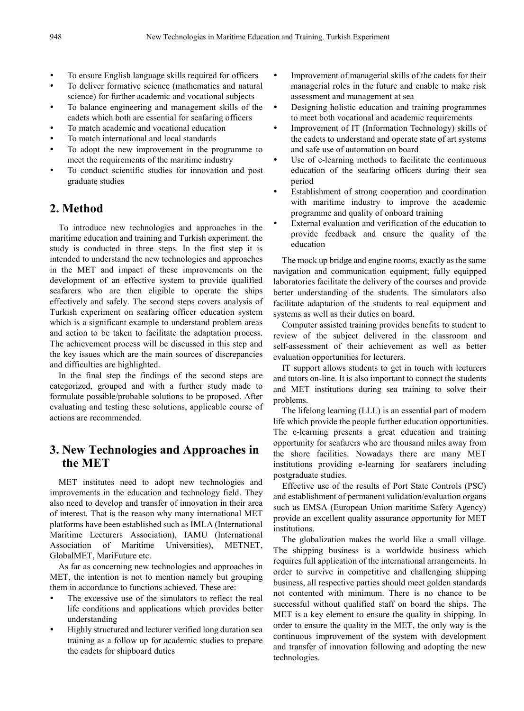- To ensure English language skills required for officers
- To deliver formative science (mathematics and natural science) for further academic and vocational subjects
- To balance engineering and management skills of the cadets which both are essential for seafaring officers
- To match academic and vocational education
- To match international and local standards
- To adopt the new improvement in the programme to meet the requirements of the maritime industry
- To conduct scientific studies for innovation and post graduate studies

### **2. Method**

To introduce new technologies and approaches in the maritime education and training and Turkish experiment, the study is conducted in three steps. In the first step it is intended to understand the new technologies and approaches in the MET and impact of these improvements on the development of an effective system to provide qualified seafarers who are then eligible to operate the ships effectively and safely. The second steps covers analysis of Turkish experiment on seafaring officer education system which is a significant example to understand problem areas and action to be taken to facilitate the adaptation process. The achievement process will be discussed in this step and the key issues which are the main sources of discrepancies and difficulties are highlighted.

In the final step the findings of the second steps are categorized, grouped and with a further study made to formulate possible/probable solutions to be proposed. After evaluating and testing these solutions, applicable course of actions are recommended.

## **3. New Technologies and Approaches in the MET**

MET institutes need to adopt new technologies and improvements in the education and technology field. They also need to develop and transfer of innovation in their area of interest. That is the reason why many international MET platforms have been established such as IMLA (International Maritime Lecturers Association), IAMU (International Association of Maritime Universities), METNET, GlobalMET, MariFuture etc.

As far as concerning new technologies and approaches in MET, the intention is not to mention namely but grouping them in accordance to functions achieved. These are:

- The excessive use of the simulators to reflect the real life conditions and applications which provides better understanding
- Highly structured and lecturer verified long duration sea training as a follow up for academic studies to prepare the cadets for shipboard duties
- Improvement of managerial skills of the cadets for their managerial roles in the future and enable to make risk assessment and management at sea
- Designing holistic education and training programmes to meet both vocational and academic requirements
- Improvement of IT (Information Technology) skills of the cadets to understand and operate state of art systems and safe use of automation on board
- Use of e-learning methods to facilitate the continuous education of the seafaring officers during their sea period
- Establishment of strong cooperation and coordination with maritime industry to improve the academic programme and quality of onboard training
- External evaluation and verification of the education to provide feedback and ensure the quality of the education

The mock up bridge and engine rooms, exactly as the same navigation and communication equipment; fully equipped laboratories facilitate the delivery of the courses and provide better understanding of the students. The simulators also facilitate adaptation of the students to real equipment and systems as well as their duties on board.

Computer assisted training provides benefits to student to review of the subject delivered in the classroom and self-assessment of their achievement as well as better evaluation opportunities for lecturers.

IT support allows students to get in touch with lecturers and tutors on-line. It is also important to connect the students and MET institutions during sea training to solve their problems.

The lifelong learning (LLL) is an essential part of modern life which provide the people further education opportunities. The e-learning presents a great education and training opportunity for seafarers who are thousand miles away from the shore facilities. Nowadays there are many MET institutions providing e-learning for seafarers including postgraduate studies.

Effective use of the results of Port State Controls (PSC) and establishment of permanent validation/evaluation organs such as EMSA (European Union maritime Safety Agency) provide an excellent quality assurance opportunity for MET institutions.

The globalization makes the world like a small village. The shipping business is a worldwide business which requires full application of the international arrangements. In order to survive in competitive and challenging shipping business, all respective parties should meet golden standards not contented with minimum. There is no chance to be successful without qualified staff on board the ships. The MET is a key element to ensure the quality in shipping. In order to ensure the quality in the MET, the only way is the continuous improvement of the system with development and transfer of innovation following and adopting the new technologies.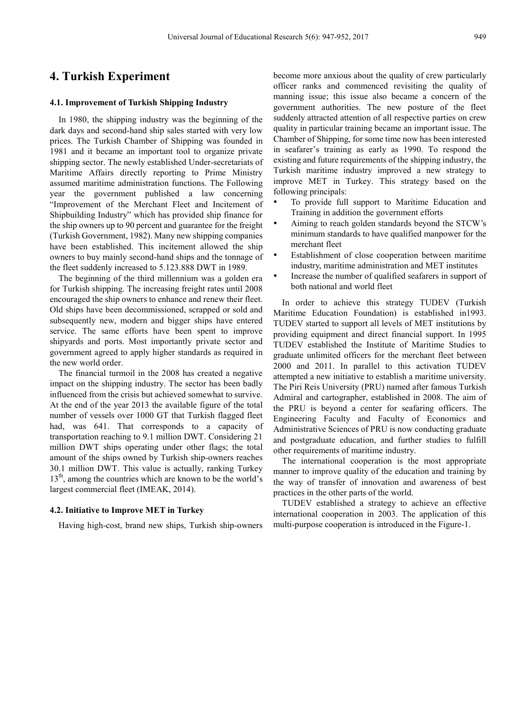### **4. Turkish Experiment**

#### **4.1. Improvement of Turkish Shipping Industry**

In 1980, the shipping industry was the beginning of the dark days and second-hand ship sales started with very low prices. The Turkish Chamber of Shipping was founded in 1981 and it became an important tool to organize private shipping sector. The newly established Under-secretariats of Maritime Affairs directly reporting to Prime Ministry assumed maritime administration functions. The Following year the government published a law concerning "Improvement of the Merchant Fleet and Incitement of Shipbuilding Industry" which has provided ship finance for the ship owners up to 90 percent and guarantee for the freight (Turkish Government, 1982). Many new shipping companies have been established. This incitement allowed the ship owners to buy mainly second-hand ships and the tonnage of the fleet suddenly increased to 5.123.888 DWT in 1989.

The beginning of the third millennium was a golden era for Turkish shipping. The increasing freight rates until 2008 encouraged the ship owners to enhance and renew their fleet. Old ships have been decommissioned, scrapped or sold and subsequently new, modern and bigger ships have entered service. The same efforts have been spent to improve shipyards and ports. Most importantly private sector and government agreed to apply higher standards as required in the new world order.

The financial turmoil in the 2008 has created a negative impact on the shipping industry. The sector has been badly influenced from the crisis but achieved somewhat to survive. At the end of the year 2013 the available figure of the total number of vessels over 1000 GT that Turkish flagged fleet had, was 641. That corresponds to a capacity of transportation reaching to 9.1 million DWT. Considering 21 million DWT ships operating under other flags; the total amount of the ships owned by Turkish ship-owners reaches 30.1 million DWT. This value is actually, ranking Turkey  $13<sup>th</sup>$ , among the countries which are known to be the world's largest commercial fleet (IMEAK, 2014).

#### **4.2. Initiative to Improve MET in Turkey**

Having high-cost, brand new ships, Turkish ship-owners

become more anxious about the quality of crew particularly officer ranks and commenced revisiting the quality of manning issue; this issue also became a concern of the government authorities. The new posture of the fleet suddenly attracted attention of all respective parties on crew quality in particular training became an important issue. The Chamber of Shipping, for some time now has been interested in seafarer's training as early as 1990. To respond the existing and future requirements of the shipping industry, the Turkish maritime industry improved a new strategy to improve MET in Turkey. This strategy based on the following principals:

- To provide full support to Maritime Education and Training in addition the government efforts
- Aiming to reach golden standards beyond the STCW's minimum standards to have qualified manpower for the merchant fleet
- Establishment of close cooperation between maritime industry, maritime administration and MET institutes
- Increase the number of qualified seafarers in support of both national and world fleet

In order to achieve this strategy TUDEV (Turkish Maritime Education Foundation) is established in1993. TUDEV started to support all levels of MET institutions by providing equipment and direct financial support. In 1995 TUDEV established the Institute of Maritime Studies to graduate unlimited officers for the merchant fleet between 2000 and 2011. In parallel to this activation TUDEV attempted a new initiative to establish a maritime university. The Piri Reis University (PRU) named after famous Turkish Admiral and cartographer, established in 2008. The aim of the PRU is beyond a center for seafaring officers. The Engineering Faculty and Faculty of Economics and Administrative Sciences of PRU is now conducting graduate and postgraduate education, and further studies to fulfill other requirements of maritime industry.

The international cooperation is the most appropriate manner to improve quality of the education and training by the way of transfer of innovation and awareness of best practices in the other parts of the world.

TUDEV established a strategy to achieve an effective international cooperation in 2003. The application of this multi-purpose cooperation is introduced in the Figure-1.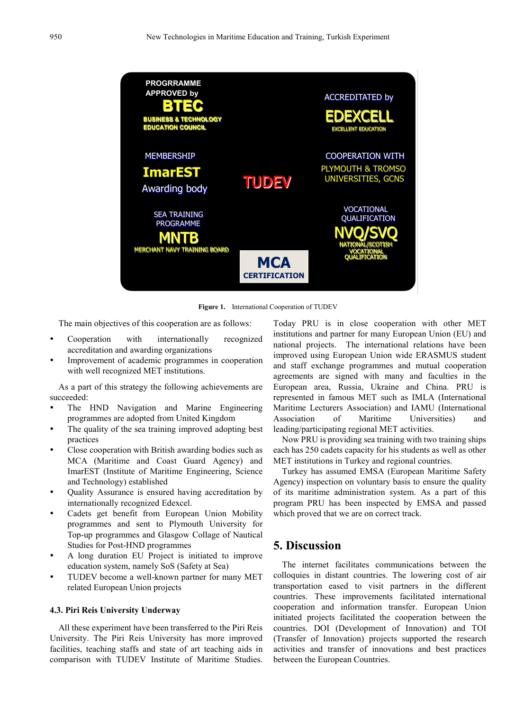

**Figure 1.** International Cooperation of TUDEV

The main objectives of this cooperation are as follows:

- Cooperation with internationally recognized accreditation and awarding organizations
- Improvement of academic programmes in cooperation with well recognized MET institutions.

As a part of this strategy the following achievements are succeeded:

- The HND Navigation and Marine Engineering programmes are adopted from United Kingdom
- The quality of the sea training improved adopting best practices
- Close cooperation with British awarding bodies such as MCA (Maritime and Coast Guard Agency) and ImarEST (Institute of Maritime Engineering, Science and Technology) established
- Quality Assurance is ensured having accreditation by internationally recognized Edexcel.
- Cadets get benefit from European Union Mobility programmes and sent to Plymouth University for Top-up programmes and Glasgow Collage of Nautical Studies for Post-HND programmes
- A long duration EU Project is initiated to improve education system, namely SoS (Safety at Sea)
- TUDEV become a well-known partner for many MET related European Union projects

#### **4.3. Piri Reis University Underway**

All these experiment have been transferred to the Piri Reis University. The Piri Reis University has more improved facilities, teaching staffs and state of art teaching aids in comparison with TUDEV Institute of Maritime Studies. Today PRU is in close cooperation with other MET institutions and partner for many European Union (EU) and national projects. The international relations have been improved using European Union wide ERASMUS student and staff exchange programmes and mutual cooperation agreements are signed with many and faculties in the European area, Russia, Ukraine and China. PRU is represented in famous MET such as IMLA (International Maritime Lecturers Association) and IAMU (International Association of Maritime Universities) and leading/participating regional MET activities.

Now PRU is providing sea training with two training ships each has 250 cadets capacity for his students as well as other MET institutions in Turkey and regional countries.

Turkey has assumed EMSA (European Maritime Safety Agency) inspection on voluntary basis to ensure the quality of its maritime administration system. As a part of this program PRU has been inspected by EMSA and passed which proved that we are on correct track.

### **5. Discussion**

The internet facilitates communications between the colloquies in distant countries. The lowering cost of air transportation eased to visit partners in the different countries. These improvements facilitated international cooperation and information transfer. European Union initiated projects facilitated the cooperation between the countries. DOI (Development of Innovation) and TOI (Transfer of Innovation) projects supported the research activities and transfer of innovations and best practices between the European Countries.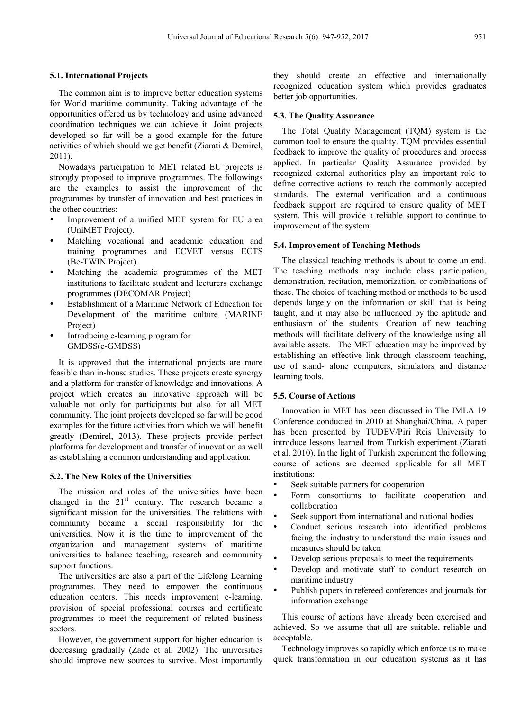#### **5.1. International Projects**

The common aim is to improve better education systems for World maritime community. Taking advantage of the opportunities offered us by technology and using advanced coordination techniques we can achieve it. Joint projects developed so far will be a good example for the future activities of which should we get benefit (Ziarati & Demirel, 2011).

Nowadays participation to MET related EU projects is strongly proposed to improve programmes. The followings are the examples to assist the improvement of the programmes by transfer of innovation and best practices in the other countries:

- Improvement of a unified MET system for EU area (UniMET Project).
- Matching vocational and academic education and training programmes and ECVET versus ECTS (Be-TWIN Project).
- Matching the academic programmes of the MET institutions to facilitate student and lecturers exchange programmes (DECOMAR Project)
- Establishment of a Maritime Network of Education for Development of the maritime culture (MARINE Project)
- Introducing e-learning program for GMDSS(e-GMDSS)

It is approved that the international projects are more feasible than in-house studies. These projects create synergy and a platform for transfer of knowledge and innovations. A project which creates an innovative approach will be valuable not only for participants but also for all MET community. The joint projects developed so far will be good examples for the future activities from which we will benefit greatly (Demirel, 2013). These projects provide perfect platforms for development and transfer of innovation as well as establishing a common understanding and application.

#### **5.2. The New Roles of the Universities**

The mission and roles of the universities have been changed in the  $21<sup>st</sup>$  century. The research became a significant mission for the universities. The relations with community became a social responsibility for the universities. Now it is the time to improvement of the organization and management systems of maritime universities to balance teaching, research and community support functions.

The universities are also a part of the Lifelong Learning programmes. They need to empower the continuous education centers. This needs improvement e-learning, provision of special professional courses and certificate programmes to meet the requirement of related business sectors.

However, the government support for higher education is decreasing gradually (Zade et al, 2002). The universities should improve new sources to survive. Most importantly they should create an effective and internationally recognized education system which provides graduates better job opportunities.

#### **5.3. The Quality Assurance**

The Total Quality Management (TQM) system is the common tool to ensure the quality. TQM provides essential feedback to improve the quality of procedures and process applied. In particular Quality Assurance provided by recognized external authorities play an important role to define corrective actions to reach the commonly accepted standards. The external verification and a continuous feedback support are required to ensure quality of MET system. This will provide a reliable support to continue to improvement of the system.

#### **5.4. Improvement of Teaching Methods**

The classical teaching methods is about to come an end. The teaching methods may include class participation, demonstration, recitation, memorization, or combinations of these. The choice of teaching method or methods to be used depends largely on the information or skill that is being taught, and it may also be influenced by the aptitude and enthusiasm of the students. Creation of new teaching methods will facilitate delivery of the knowledge using all available assets. The MET education may be improved by establishing an effective link through classroom teaching, use of stand- alone computers, simulators and distance learning tools.

### **5.5. Course of Actions**

Innovation in MET has been discussed in The IMLA 19 Conference conducted in 2010 at Shanghai/China. A paper has been presented by TUDEV/Piri Reis University to introduce lessons learned from Turkish experiment (Ziarati et al, 2010). In the light of Turkish experiment the following course of actions are deemed applicable for all MET institutions:

- Seek suitable partners for cooperation
- Form consortiums to facilitate cooperation and collaboration
- Seek support from international and national bodies
- Conduct serious research into identified problems facing the industry to understand the main issues and measures should be taken
- Develop serious proposals to meet the requirements
- Develop and motivate staff to conduct research on maritime industry
- Publish papers in refereed conferences and journals for information exchange

This course of actions have already been exercised and achieved. So we assume that all are suitable, reliable and acceptable.

Technology improves so rapidly which enforce us to make quick transformation in our education systems as it has